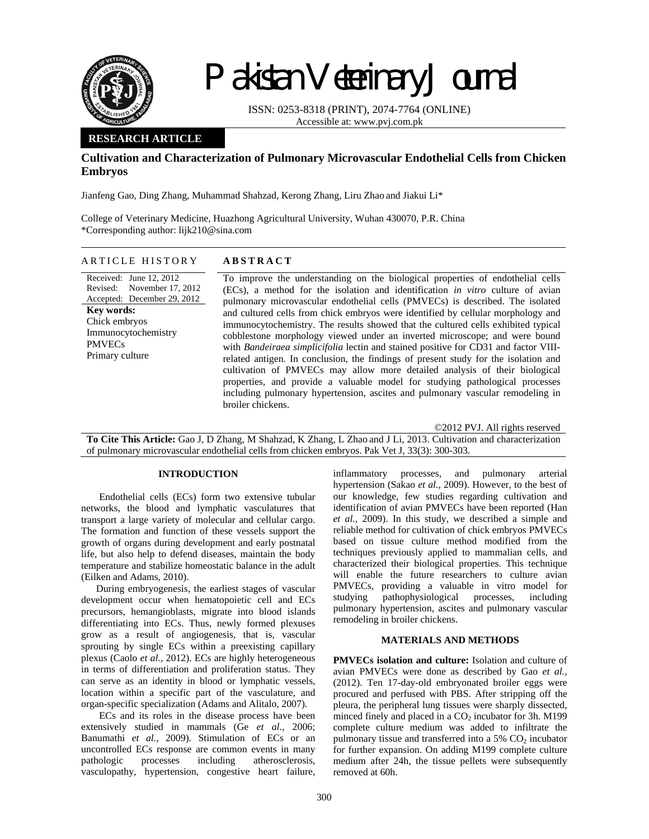

# Pakistan Veterinary Journal

ISSN: 0253-8318 (PRINT), 2074-7764 (ONLINE) Accessible at: www.pvj.com.pk

## **RESEARCH ARTICLE**

# **Cultivation and Characterization of Pulmonary Microvascular Endothelial Cells from Chicken Embryos**

Jianfeng Gao, Ding Zhang, Muhammad Shahzad, Kerong Zhang, Liru Zhao and Jiakui Li\*

College of Veterinary Medicine, Huazhong Agricultural University, Wuhan 430070, P.R. China \*Corresponding author: lijk210@sina.com

## ARTICLE HISTORY **ABSTRACT**

Received: June 12, 2012 Revised: Accepted: December 29, 2012 November 17, 2012 **Key words:**  Chick embryos Immunocytochemistry PMVECs Primary culture

To improve the understanding on the biological properties of endothelial cells (ECs), a method for the isolation and identification *in vitro* culture of avian pulmonary microvascular endothelial cells (PMVECs) is described. The isolated and cultured cells from chick embryos were identified by cellular morphology and immunocytochemistry. The results showed that the cultured cells exhibited typical cobblestone morphology viewed under an inverted microscope; and were bound with *Bandeiraea simplicifolia* lectin and stained positive for CD31 and factor VIIIrelated antigen. In conclusion, the findings of present study for the isolation and cultivation of PMVECs may allow more detailed analysis of their biological properties, and provide a valuable model for studying pathological processes including pulmonary hypertension, ascites and pulmonary vascular remodeling in broiler chickens.

©2012 PVJ. All rights reserved

**To Cite This Article:** Gao J, D Zhang, M Shahzad, K Zhang, L Zhao and J Li, 2013. Cultivation and characterization of pulmonary microvascular endothelial cells from chicken embryos. Pak Vet J, 33(3): 300-303.

#### **INTRODUCTION**

Endothelial cells (ECs) form two extensive tubular networks, the blood and lymphatic vasculatures that transport a large variety of molecular and cellular cargo. The formation and function of these vessels support the growth of organs during development and early postnatal life, but also help to defend diseases, maintain the body temperature and stabilize homeostatic balance in the adult (Eilken and Adams, 2010).

During embryogenesis, the earliest stages of vascular development occur when hematopoietic cell and ECs precursors, hemangioblasts, migrate into blood islands differentiating into ECs. Thus, newly formed plexuses grow as a result of angiogenesis, that is, vascular sprouting by single ECs within a preexisting capillary plexus (Caolo *et al.,* 2012). ECs are highly heterogeneous in terms of differentiation and proliferation status. They can serve as an identity in blood or lymphatic vessels, location within a specific part of the vasculature, and organ-specific specialization (Adams and Alitalo, 2007).

ECs and its roles in the disease process have been extensively studied in mammals (Ge *et al.,* 2006; Banumathi *et al.,* 2009). Stimulation of ECs or an uncontrolled ECs response are common events in many pathologic processes including atherosclerosis, vasculopathy, hypertension, congestive heart failure, inflammatory processes, and pulmonary arterial hypertension (Sakao *et al.,* 2009). However, to the best of our knowledge, few studies regarding cultivation and identification of avian PMVECs have been reported (Han *et al.,* 2009). In this study, we described a simple and reliable method for cultivation of chick embryos PMVECs based on tissue culture method modified from the techniques previously applied to mammalian cells, and characterized their biological properties. This technique will enable the future researchers to culture avian PMVECs, providing a valuable in vitro model for studying pathophysiological processes, including pulmonary hypertension, ascites and pulmonary vascular remodeling in broiler chickens.

## **MATERIALS AND METHODS**

**PMVECs isolation and culture:** Isolation and culture of avian PMVECs were done as described by Gao *et al.,* (2012). Ten 17-day-old embryonated broiler eggs were procured and perfused with PBS. After stripping off the pleura, the peripheral lung tissues were sharply dissected, minced finely and placed in a  $CO<sub>2</sub>$  incubator for 3h. M199 complete culture medium was added to infiltrate the pulmonary tissue and transferred into a  $5\%$  CO<sub>2</sub> incubator for further expansion. On adding M199 complete culture medium after 24h, the tissue pellets were subsequently removed at 60h.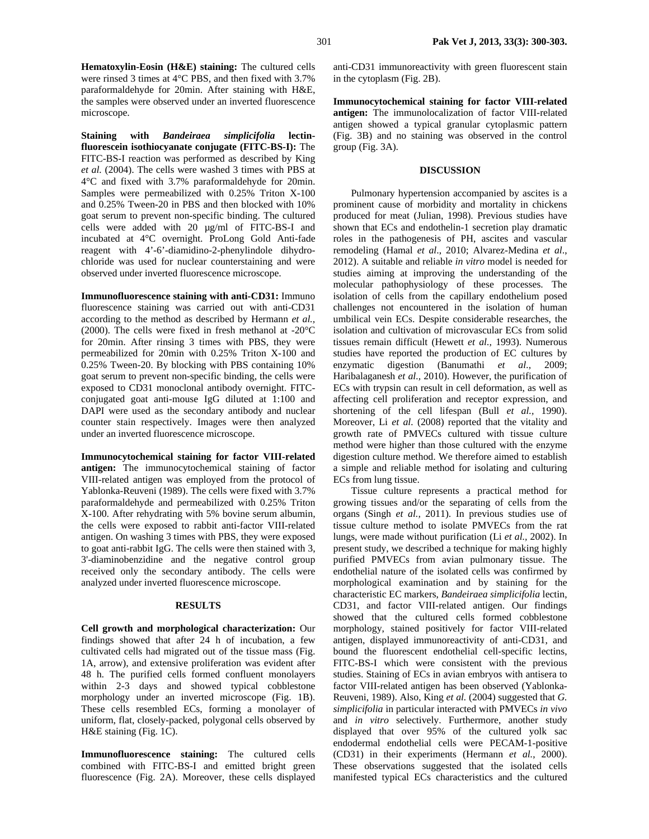**Hematoxylin-Eosin (H&E) staining:** The cultured cells were rinsed 3 times at 4°C PBS, and then fixed with 3.7% paraformaldehyde for 20min. After staining with H&E, the samples were observed under an inverted fluorescence microscope.

**Staining with** *Bandeiraea simplicifolia* **lectinfluorescein isothiocyanate conjugate (FITC-BS-I):** The FITC-BS-I reaction was performed as described by King *et al.* (2004). The cells were washed 3 times with PBS at 4°C and fixed with 3.7% paraformaldehyde for 20min. Samples were permeabilized with 0.25% Triton X-100 and 0.25% Tween-20 in PBS and then blocked with 10% goat serum to prevent non-specific binding. The cultured cells were added with 20 µg/ml of FITC-BS-I and incubated at 4°C overnight. ProLong Gold Anti-fade reagent with 4'-6'-diamidino-2-phenylindole dihydrochloride was used for nuclear counterstaining and were observed under inverted fluorescence microscope.

**Immunofluorescence staining with anti-CD31:** Immuno fluorescence staining was carried out with anti-CD31 according to the method as described by Hermann *et al.,*  (2000). The cells were fixed in fresh methanol at -20°C for 20min. After rinsing 3 times with PBS, they were permeabilized for 20min with 0.25% Triton X-100 and 0.25% Tween-20. By blocking with PBS containing 10% goat serum to prevent non-specific binding, the cells were exposed to CD31 monoclonal antibody overnight. FITCconjugated goat anti-mouse IgG diluted at 1:100 and DAPI were used as the secondary antibody and nuclear counter stain respectively. Images were then analyzed under an inverted fluorescence microscope.

**Immunocytochemical staining for factor VIII-related antigen:** The immunocytochemical staining of factor VIII-related antigen was employed from the protocol of Yablonka-Reuveni (1989). The cells were fixed with 3.7% paraformaldehyde and permeabilized with 0.25% Triton X-100. After rehydrating with 5% bovine serum albumin, the cells were exposed to rabbit anti-factor VIII-related antigen. On washing 3 times with PBS, they were exposed to goat anti-rabbit IgG. The cells were then stained with 3, 3'-diaminobenzidine and the negative control group received only the secondary antibody. The cells were analyzed under inverted fluorescence microscope.

### **RESULTS**

**Cell growth and morphological characterization:** Our findings showed that after 24 h of incubation, a few cultivated cells had migrated out of the tissue mass (Fig. 1A, arrow), and extensive proliferation was evident after 48 h. The purified cells formed confluent monolayers within 2-3 days and showed typical cobblestone morphology under an inverted microscope (Fig. 1B). These cells resembled ECs, forming a monolayer of uniform, flat, closely-packed, polygonal cells observed by H&E staining (Fig. 1C).

**Immunofluorescence staining:** The cultured cells combined with FITC-BS-I and emitted bright green fluorescence (Fig. 2A). Moreover, these cells displayed anti-CD31 immunoreactivity with green fluorescent stain in the cytoplasm (Fig. 2B).

**Immunocytochemical staining for factor VIII-related antigen:** The immunolocalization of factor VIII-related antigen showed a typical granular cytoplasmic pattern (Fig. 3B) and no staining was observed in the control group (Fig. 3A).

#### **DISCUSSION**

Pulmonary hypertension accompanied by ascites is a prominent cause of morbidity and mortality in chickens produced for meat (Julian, 1998). Previous studies have shown that ECs and endothelin-1 secretion play dramatic roles in the pathogenesis of PH, ascites and vascular remodeling (Hamal *et al*., 2010; Alvarez-Medina *et al*., 2012). A suitable and reliable *in vitro* model is needed for studies aiming at improving the understanding of the molecular pathophysiology of these processes. The isolation of cells from the capillary endothelium posed challenges not encountered in the isolation of human umbilical vein ECs. Despite considerable researches, the isolation and cultivation of microvascular ECs from solid tissues remain difficult (Hewett *et al.,* 1993). Numerous studies have reported the production of EC cultures by enzymatic digestion (Banumathi *et al.,* 2009; Haribalaganesh *et al.,* 2010). However, the purification of ECs with trypsin can result in cell deformation, as well as affecting cell proliferation and receptor expression, and shortening of the cell lifespan (Bull *et al.,* 1990). Moreover, Li *et al.* (2008) reported that the vitality and growth rate of PMVECs cultured with tissue culture method were higher than those cultured with the enzyme digestion culture method. We therefore aimed to establish a simple and reliable method for isolating and culturing ECs from lung tissue.

Tissue culture represents a practical method for growing tissues and/or the separating of cells from the organs (Singh *et al.,* 2011). In previous studies use of tissue culture method to isolate PMVECs from the rat lungs, were made without purification (Li *et al.,* 2002). In present study, we described a technique for making highly purified PMVECs from avian pulmonary tissue. The endothelial nature of the isolated cells was confirmed by morphological examination and by staining for the characteristic EC markers, *Bandeiraea simplicifolia* lectin, CD31, and factor VIII-related antigen. Our findings showed that the cultured cells formed cobblestone morphology, stained positively for factor VIII-related antigen, displayed immunoreactivity of anti-CD31, and bound the fluorescent endothelial cell-specific lectins, FITC-BS-I which were consistent with the previous studies. Staining of ECs in avian embryos with antisera to factor VIII-related antigen has been observed (Yablonka-Reuveni, 1989). Also, King *et al.* (2004) suggested that *G. simplicifolia* in particular interacted with PMVECs *in vivo* and *in vitro* selectively. Furthermore, another study displayed that over 95% of the cultured yolk sac endodermal endothelial cells were PECAM-1-positive (CD31) in their experiments (Hermann *et al.*, 2000). These observations suggested that the isolated cells manifested typical ECs characteristics and the cultured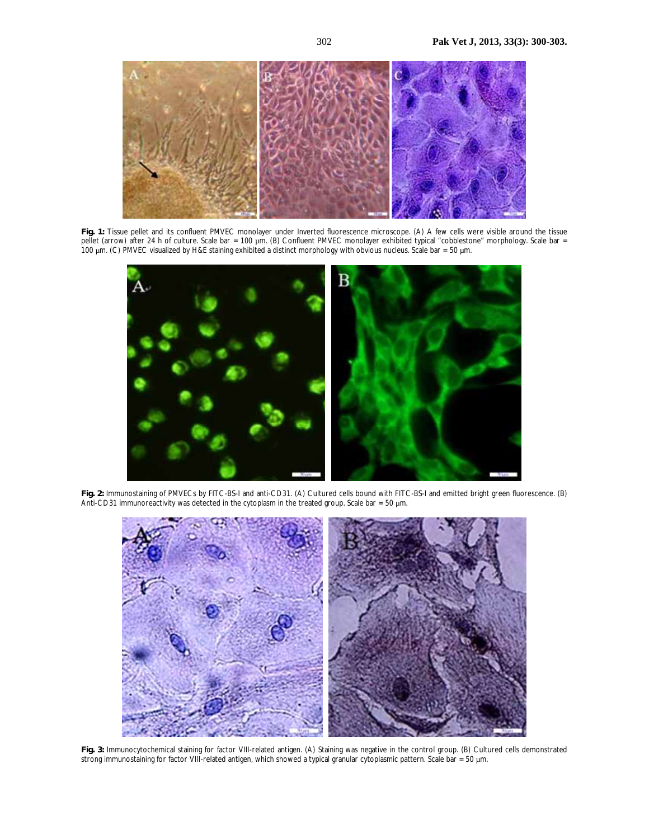

**Fig. 1:** Tissue pellet and its confluent PMVEC monolayer under Inverted fluorescence microscope. (A) A few cells were visible around the tissue pellet (arrow) after 24 h of culture. Scale bar = 100 μm. (B) Confluent PMVEC monolayer exhibited typical "cobblestone" morphology. Scale bar = 100 µm. (C) PMVEC visualized by H&E staining exhibited a distinct morphology with obvious nucleus. Scale bar = 50 µm.



**Fig. 2:** Immunostaining of PMVECs by FITC-BS-I and anti-CD31. (A) Cultured cells bound with FITC-BS-I and emitted bright green fluorescence. (B) Anti-CD31 immunoreactivity was detected in the cytoplasm in the treated group. Scale bar =  $50 \mu m$ .



**Fig. 3:** Immunocytochemical staining for factor VIII-related antigen. (A) Staining was negative in the control group. (B) Cultured cells demonstrated strong immunostaining for factor VIII-related antigen, which showed a typical granular cytoplasmic pattern. Scale bar = 50 µm.